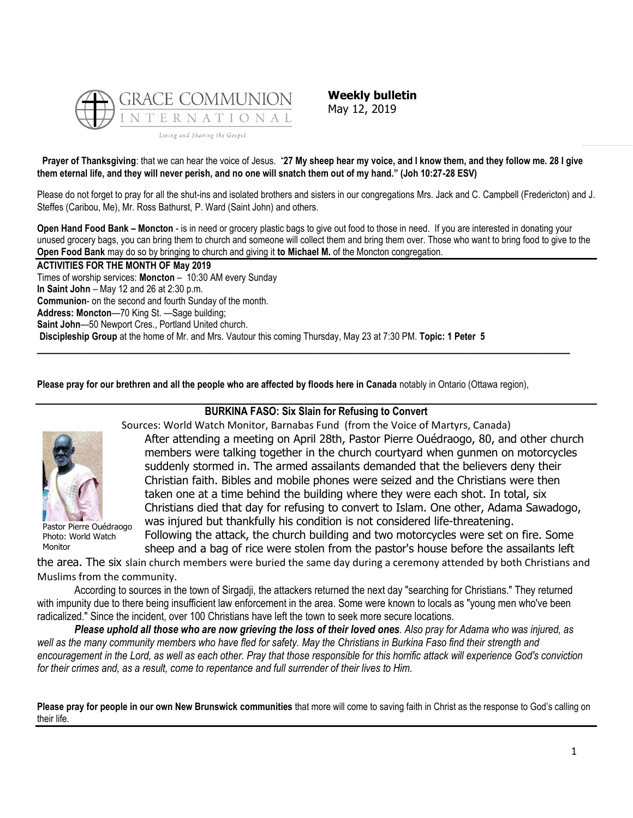

**Weekly bulletin** May 12, 2019

**Prayer of Thanksgiving**: that we can hear the voice of Jesus. "**27 My sheep hear my voice, and I know them, and they follow me. 28 I give them eternal life, and they will never perish, and no one will snatch them out of my hand." (Joh 10:27-28 ESV)**

Please do not forget to pray for all the shut-ins and isolated brothers and sisters in our congregations Mrs. Jack and C. Campbell (Fredericton) and J. Steffes (Caribou, Me), Mr. Ross Bathurst, P. Ward (Saint John) and others.

**Open Hand Food Bank – Moncton** - is in need or grocery plastic bags to give out food to those in need. If you are interested in donating your unused grocery bags, you can bring them to church and someone will collect them and bring them over. Those who want to bring food to give to the **Open Food Bank** may do so by bringing to church and giving it **to Michael M.** of the Moncton congregation.

**ACTIVITIES FOR THE MONTH OF May 2019** Times of worship services: **Moncton** – 10:30 AM every Sunday **In Saint John** – May 12 and 26 at 2:30 p.m. **Communion**- on the second and fourth Sunday of the month. **Address: Moncton**—70 King St. —Sage building; **Saint John**—50 Newport Cres., Portland United church. **Discipleship Group** at the home of Mr. and Mrs. Vautour this coming Thursday, May 23 at 7:30 PM. **Topic: 1 Peter 5 \_\_\_\_\_\_\_\_\_\_\_\_\_\_\_\_\_\_\_\_\_\_\_\_\_\_\_\_\_\_\_\_\_\_\_\_\_\_\_\_\_\_\_\_\_\_\_\_\_\_\_\_\_\_\_\_\_\_\_\_\_\_\_\_\_\_\_\_\_\_\_\_\_\_\_\_\_\_\_\_\_**

**Please pray for our brethren and all the people who are affected by floods here in Canada** notably in Ontario (Ottawa region),



Pastor Pierre Ouédraogo Photo: World Watch Monitor

**BURKINA FASO: Six Slain for Refusing to Convert**

Sources: World Watch Monitor, Barnabas Fund (from the Voice of Martyrs, Canada) After attending a meeting on April 28th, Pastor Pierre Ouédraogo, 80, and other church members were talking together in the church courtyard when gunmen on motorcycles suddenly stormed in. The armed assailants demanded that the believers deny their Christian faith. Bibles and mobile phones were seized and the Christians were then taken one at a time behind the building where they were each shot. In total, six Christians died that day for refusing to convert to Islam. One other, Adama Sawadogo, was injured but thankfully his condition is not considered life-threatening. Following the attack, the church building and two motorcycles were set on fire. Some

sheep and a bag of rice were stolen from the pastor's house before the assailants left

the area. The six slain church members were buried the same day during a ceremony attended by both Christians and Muslims from the community.

According to sources in the town of Sirgadji, the attackers returned the next day "searching for Christians." They returned with impunity due to there being insufficient law enforcement in the area. Some were known to locals as "young men who've been radicalized." Since the incident, over 100 Christians have left the town to seek more secure locations.

*Please uphold all those who are now grieving the loss of their loved ones. Also pray for Adama who was injured, as*  well as the many community members who have fled for safety. May the Christians in Burkina Faso find their strength and *encouragement in the Lord, as well as each other. Pray that those responsible for this horrific attack will experience God's conviction for their crimes and, as a result, come to repentance and full surrender of their lives to Him.*

**Please pray for people in our own New Brunswick communities** that more will come to saving faith in Christ as the response to God's calling on their life.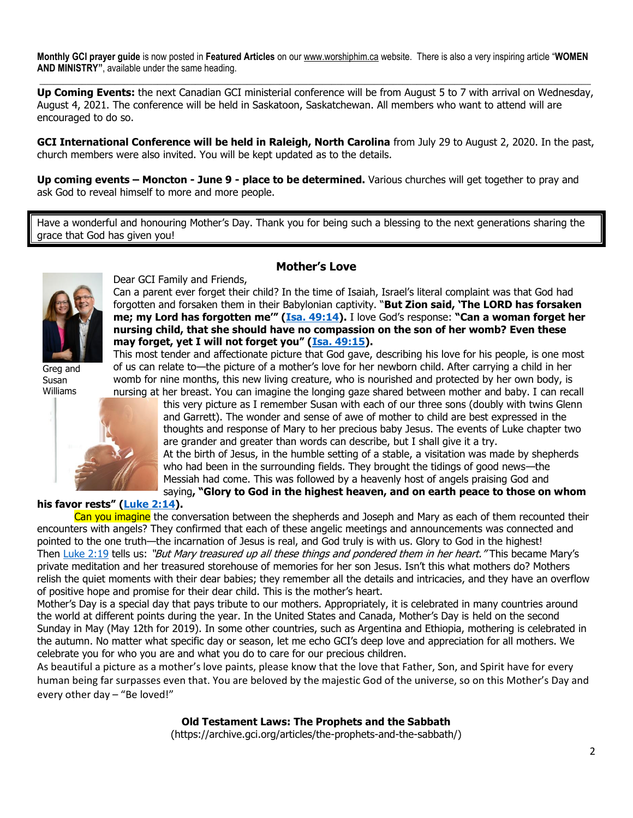**Monthly GCI prayer guide** is now posted in **Featured Articles** on our [www.worshiphim.ca](http://www.worshiphim.ca/) website. There is also a very inspiring article "**WOMEN AND MINISTRY"**, available under the same heading.  $\Box$ 

**Up Coming Events:** the next Canadian GCI ministerial conference will be from August 5 to 7 with arrival on Wednesday, August 4, 2021. The conference will be held in Saskatoon, Saskatchewan. All members who want to attend will are encouraged to do so.

**GCI International Conference will be held in Raleigh, North Carolina** from July 29 to August 2, 2020. In the past, church members were also invited. You will be kept updated as to the details.

**Up coming events – Moncton - June 9 - place to be determined.** Various churches will get together to pray and ask God to reveal himself to more and more people.

Have a wonderful and honouring Mother's Day. Thank you for being such a blessing to the next generations sharing the grace that God has given you!

**Mother's Love**



Greg and Susan Williams



Dear GCI Family and Friends,

Can a parent ever forget their child? In the time of Isaiah, Israel's literal complaint was that God had forgotten and forsaken them in their Babylonian captivity. "**But Zion said, 'The LORD has forsaken me; my Lord has forgotten me'" ([Isa. 49:14\)](https://biblia.com/bible/niv/Isa.%2049.14).** I love God's response: **"Can a woman forget her nursing child, that she should have no compassion on the son of her womb? Even these may forget, yet I will not forget you" ([Isa. 49:15\)](https://biblia.com/bible/niv/Isa.%2049.15).**

This most tender and affectionate picture that God gave, describing his love for his people, is one most of us can relate to—the picture of a mother's love for her newborn child. After carrying a child in her womb for nine months, this new living creature, who is nourished and protected by her own body, is nursing at her breast. You can imagine the longing gaze shared between mother and baby. I can recall

this very picture as I remember Susan with each of our three sons (doubly with twins Glenn and Garrett). The wonder and sense of awe of mother to child are best expressed in the thoughts and response of Mary to her precious baby Jesus. The events of Luke chapter two are grander and greater than words can describe, but I shall give it a try. At the birth of Jesus, in the humble setting of a stable, a visitation was made by shepherds who had been in the surrounding fields. They brought the tidings of good news—the Messiah had come. This was followed by a heavenly host of angels praising God and saying**, "Glory to God in the highest heaven, and on earth peace to those on whom** 

# **his favor rests" [\(Luke 2:14\)](https://biblia.com/bible/niv/Luke%202.14).**

Can you imagine the conversation between the shepherds and Joseph and Mary as each of them recounted their encounters with angels? They confirmed that each of these angelic meetings and announcements was connected and pointed to the one truth—the incarnation of Jesus is real, and God truly is with us. Glory to God in the highest! Then [Luke 2:19](https://biblia.com/bible/niv/Luke%202.19) tells us: "But Mary treasured up all these things and pondered them in her heart." This became Mary's private meditation and her treasured storehouse of memories for her son Jesus. Isn't this what mothers do? Mothers relish the quiet moments with their dear babies; they remember all the details and intricacies, and they have an overflow of positive hope and promise for their dear child. This is the mother's heart.

Mother's Day is a special day that pays tribute to our mothers. Appropriately, it is celebrated in many countries around the world at different points during the year. In the United States and Canada, Mother's Day is held on the second Sunday in May (May 12th for 2019). In some other countries, such as Argentina and Ethiopia, mothering is celebrated in the autumn. No matter what specific day or season, let me echo GCI's deep love and appreciation for all mothers. We celebrate you for who you are and what you do to care for our precious children.

As beautiful a picture as a mother's love paints, please know that the love that Father, Son, and Spirit have for every human being far surpasses even that. You are beloved by the majestic God of the universe, so on this Mother's Day and every other day – "Be loved!"

# **Old Testament Laws: The Prophets and the Sabbath**

(https://archive.gci.org/articles/the-prophets-and-the-sabbath/)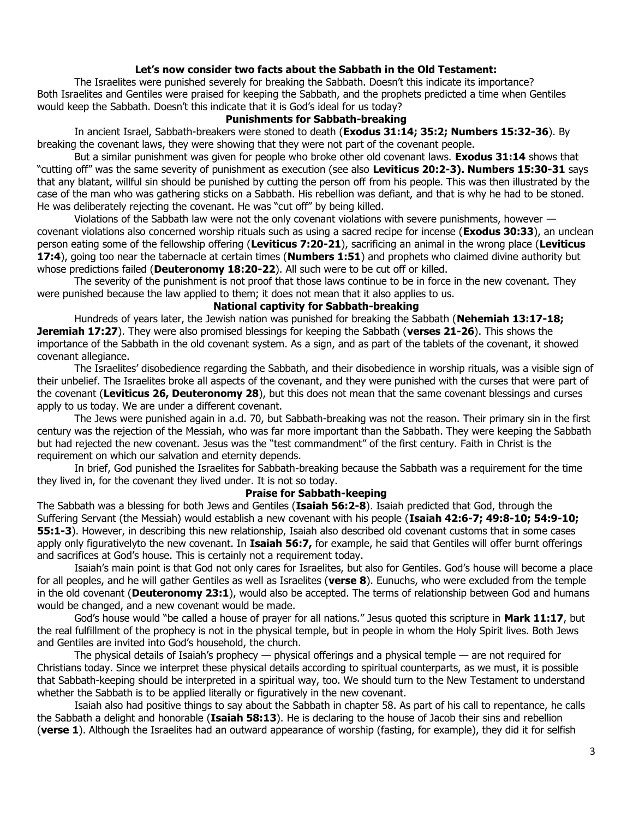## **Let's now consider two facts about the Sabbath in the Old Testament:**

The Israelites were punished severely for breaking the Sabbath. Doesn't this indicate its importance? Both Israelites and Gentiles were praised for keeping the Sabbath, and the prophets predicted a time when Gentiles would keep the Sabbath. Doesn't this indicate that it is God's ideal for us today?

#### **Punishments for Sabbath-breaking**

In ancient Israel, Sabbath-breakers were stoned to death (**[Exodus 31:14;](https://biblia.com/bible/niv/Exod%2031.14) [35:2;](https://biblia.com/bible/niv/Exodus%2035.2) [Numbers 15:32-36](https://biblia.com/bible/niv/Num%2015.32-36)**). By breaking the covenant laws, they were showing that they were not part of the covenant people.

But a similar punishment was given for people who broke other old covenant laws. **[Exodus 31:14](https://biblia.com/bible/niv/Exod%2031.14)** shows that "cutting off" was the same severity of punishment as execution (see also **[Leviticus 20:2-3\)](https://biblia.com/bible/niv/Lev%2020.2-3). [Numbers 15:30-31](https://biblia.com/bible/niv/Num%2015.30-31)** says that any blatant, willful sin should be punished by cutting the person off from his people. This was then illustrated by the case of the man who was gathering sticks on a Sabbath. His rebellion was defiant, and that is why he had to be stoned. He was deliberately rejecting the covenant. He was "cut off" by being killed.

Violations of the Sabbath law were not the only covenant violations with severe punishments, however covenant violations also concerned worship rituals such as using a sacred recipe for incense (**[Exodus 30:33](https://biblia.com/bible/niv/Exod%2030.33)**), an unclean person eating some of the fellowship offering (**[Leviticus 7:20-21](https://biblia.com/bible/niv/Lev%207.20-21)**), sacrificing an animal in the wrong place (**[Leviticus](https://biblia.com/bible/niv/Lev%2017.4)  [17:4](https://biblia.com/bible/niv/Lev%2017.4)**), going too near the tabernacle at certain times (**[Numbers 1:51](https://biblia.com/bible/niv/Num%201.51)**) and prophets who claimed divine authority but whose predictions failed (**[Deuteronomy 18:20-22](https://biblia.com/bible/niv/Deut%2018.20-22)**). All such were to be cut off or killed.

The severity of the punishment is not proof that those laws continue to be in force in the new covenant. They were punished because the law applied to them; it does not mean that it also applies to us.

# **National captivity for Sabbath-breaking**

Hundreds of years later, the Jewish nation was punished for breaking the Sabbath (**[Nehemiah 13:17-18;](https://biblia.com/bible/niv/Neh%2013.17-18) [Jeremiah 17:27](https://biblia.com/bible/niv/Jer%2017.27)**). They were also promised blessings for keeping the Sabbath (**verses 21-26**). This shows the importance of the Sabbath in the old covenant system. As a sign, and as part of the tablets of the covenant, it showed covenant allegiance.

The Israelites' disobedience regarding the Sabbath, and their disobedience in worship rituals, was a visible sign of their unbelief. The Israelites broke all aspects of the covenant, and they were punished with the curses that were part of the covenant (**Leviticus 26, Deuteronomy 28**), but this does not mean that the same covenant blessings and curses apply to us today. We are under a different covenant.

The Jews were punished again in a.d. 70, but Sabbath-breaking was not the reason. Their primary sin in the first century was the rejection of the Messiah, who was far more important than the Sabbath. They were keeping the Sabbath but had rejected the new covenant. Jesus was the "test commandment" of the first century. Faith in Christ is the requirement on which our salvation and eternity depends.

In brief, God punished the Israelites for Sabbath-breaking because the Sabbath was a requirement for the time they lived in, for the covenant they lived under. It is not so today.

#### **Praise for Sabbath-keeping**

The Sabbath was a blessing for both Jews and Gentiles (**[Isaiah 56:2-8](https://biblia.com/bible/niv/Isa%2056.2-8)**). Isaiah predicted that God, through the Suffering Servant (the Messiah) would establish a new covenant with his people (**[Isaiah 42:6-7;](https://biblia.com/bible/niv/Isa%2042.6-7) [49:8-10;](https://biblia.com/bible/niv/Isaiah%2049.8-10) [54:9-10;](https://biblia.com/bible/niv/Isaiah%2054.9-10) [55:1-3](https://biblia.com/bible/niv/Isaiah%2055.1-3)**). However, in describing this new relationship, Isaiah also described old covenant customs that in some cases apply only figurativelyto the new covenant. In **[Isaiah 56:7,](https://biblia.com/bible/niv/Isa%2056.7)** for example, he said that Gentiles will offer burnt offerings and sacrifices at God's house. This is certainly not a requirement today.

Isaiah's main point is that God not only cares for Israelites, but also for Gentiles. God's house will become a place for all peoples, and he will gather Gentiles as well as Israelites (**verse 8**). Eunuchs, who were excluded from the temple in the old covenant (**[Deuteronomy 23:1](https://biblia.com/bible/niv/Deut%2023.1)**), would also be accepted. The terms of relationship between God and humans would be changed, and a new covenant would be made.

God's house would "be called a house of prayer for all nations." Jesus quoted this scripture in **[Mark 11:17](https://biblia.com/bible/niv/Mark%2011.17)**, but the real fulfillment of the prophecy is not in the physical temple, but in people in whom the Holy Spirit lives. Both Jews and Gentiles are invited into God's household, the church.

The physical details of Isaiah's prophecy — physical offerings and a physical temple — are not required for Christians today. Since we interpret these physical details according to spiritual counterparts, as we must, it is possible that Sabbath-keeping should be interpreted in a spiritual way, too. We should turn to the New Testament to understand whether the Sabbath is to be applied literally or figuratively in the new covenant.

Isaiah also had positive things to say about the Sabbath in chapter 58. As part of his call to repentance, he calls the Sabbath a delight and honorable (**Isaiah 58:13**). He is declaring to the house of Jacob their sins and rebellion (**verse 1**). Although the Israelites had an outward appearance of worship (fasting, for example), they did it for selfish